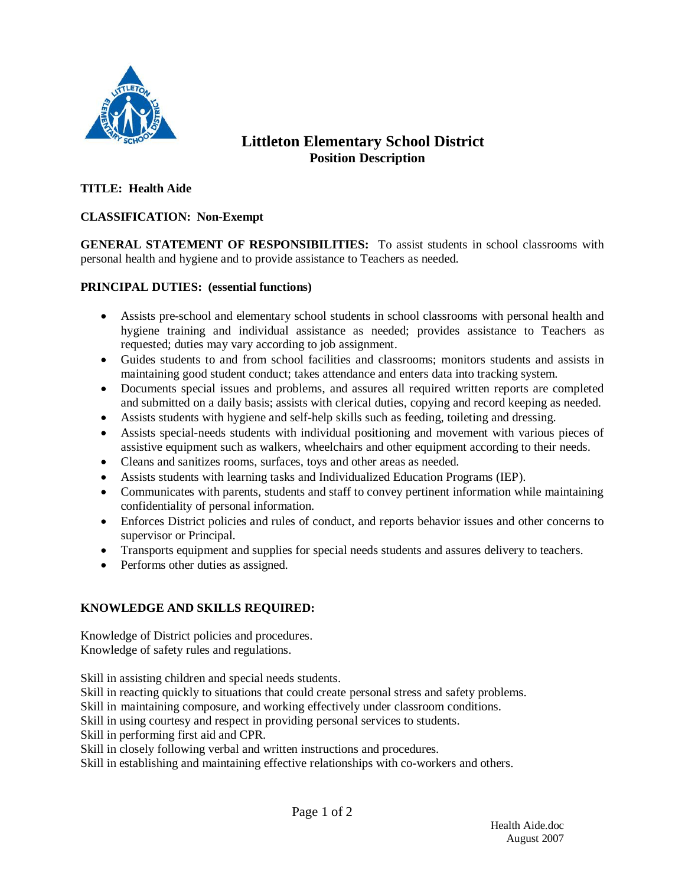

# **Littleton Elementary School District Position Description**

## **TITLE: Health Aide**

## **CLASSIFICATION: Non-Exempt**

**GENERAL STATEMENT OF RESPONSIBILITIES:** To assist students in school classrooms with personal health and hygiene and to provide assistance to Teachers as needed.

#### **PRINCIPAL DUTIES: (essential functions)**

- Assists pre-school and elementary school students in school classrooms with personal health and hygiene training and individual assistance as needed; provides assistance to Teachers as requested; duties may vary according to job assignment.
- Guides students to and from school facilities and classrooms; monitors students and assists in maintaining good student conduct; takes attendance and enters data into tracking system.
- Documents special issues and problems, and assures all required written reports are completed and submitted on a daily basis; assists with clerical duties, copying and record keeping as needed.
- Assists students with hygiene and self-help skills such as feeding, toileting and dressing.
- Assists special-needs students with individual positioning and movement with various pieces of assistive equipment such as walkers, wheelchairs and other equipment according to their needs.
- Cleans and sanitizes rooms, surfaces, toys and other areas as needed.
- Assists students with learning tasks and Individualized Education Programs (IEP).
- Communicates with parents, students and staff to convey pertinent information while maintaining confidentiality of personal information.
- Enforces District policies and rules of conduct, and reports behavior issues and other concerns to supervisor or Principal.
- Transports equipment and supplies for special needs students and assures delivery to teachers.
- Performs other duties as assigned.

# **KNOWLEDGE AND SKILLS REQUIRED:**

Knowledge of District policies and procedures. Knowledge of safety rules and regulations.

Skill in assisting children and special needs students.

Skill in reacting quickly to situations that could create personal stress and safety problems.

Skill in maintaining composure, and working effectively under classroom conditions.

Skill in using courtesy and respect in providing personal services to students.

Skill in performing first aid and CPR.

Skill in closely following verbal and written instructions and procedures.

Skill in establishing and maintaining effective relationships with co-workers and others.